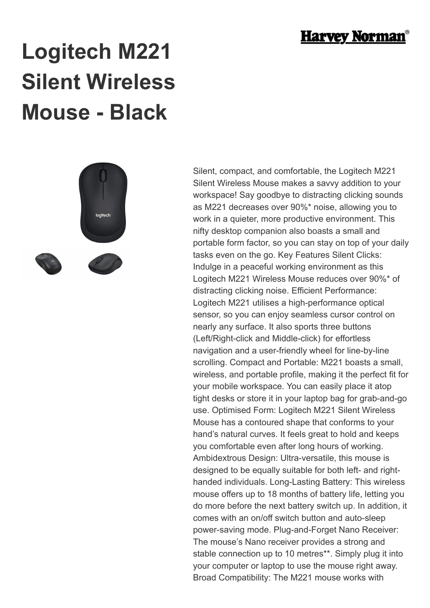

## **Logitech M221 Silent Wireless Mouse - Black**



Silent, compact, and comfortable, the Logitech M221 Silent Wireless Mouse makes a savvy addition to your workspace! Say goodbye to distracting clicking sounds as M221 decreases over 90%\* noise, allowing you to work in a quieter, more productive environment. This nifty desktop companion also boasts a small and portable form factor, so you can stay on top of your daily tasks even on the go. Key Features Silent Clicks: Indulge in a peaceful working environment as this Logitech M221 Wireless Mouse reduces over 90%\* of distracting clicking noise. Efficient Performance: Logitech M221 utilises a high-performance optical sensor, so you can enjoy seamless cursor control on nearly any surface. It also sports three buttons (Left/Right-click and Middle-click) for effortless navigation and a user-friendly wheel for line-by-line scrolling. Compact and Portable: M221 boasts a small, wireless, and portable profile, making it the perfect fit for your mobile workspace. You can easily place it atop tight desks or store it in your laptop bag for grab-and-go use. Optimised Form: Logitech M221 Silent Wireless Mouse has a contoured shape that conforms to your hand's natural curves. It feels great to hold and keeps you comfortable even after long hours of working. Ambidextrous Design: Ultra-versatile, this mouse is designed to be equally suitable for both left- and righthanded individuals. Long-Lasting Battery: This wireless mouse offers up to 18 months of battery life, letting you do more before the next battery switch up. In addition, it comes with an on/off switch button and auto-sleep power-saving mode. Plug-and-Forget Nano Receiver: The mouse's Nano receiver provides a strong and stable connection up to 10 metres\*\*. Simply plug it into your computer or laptop to use the mouse right away. Broad Compatibility: The M221 mouse works with